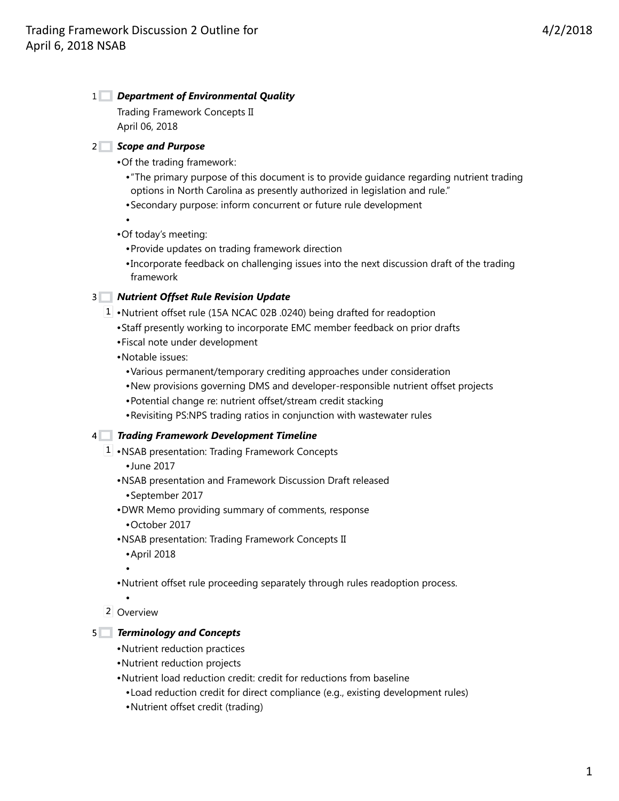# *Department of Environmental Quality* 1

Trading Framework Concepts II April 06, 2018

## *Scope and Purpose* 2

•Of the trading framework:

- •"The primary purpose of this document is to provide guidance regarding nutrient trading options in North Carolina as presently authorized in legislation and rule."
- •Secondary purpose: inform concurrent or future rule development

•

- •Of today's meeting:
	- •Provide updates on trading framework direction
	- •Incorporate feedback on challenging issues into the next discussion draft of the trading framework

# *Nutrient Offset Rule Revision Update* 3

- 1 Nutrient offset rule (15A NCAC 02B .0240) being drafted for readoption
	- •Staff presently working to incorporate EMC member feedback on prior drafts
	- •Fiscal note under development
	- •Notable issues:
		- •Various permanent/temporary crediting approaches under consideration
		- •New provisions governing DMS and developer-responsible nutrient offset projects
		- •Potential change re: nutrient offset/stream credit stacking
		- •Revisiting PS:NPS trading ratios in conjunction with wastewater rules

## *Trading Framework Development Timeline* 4

- 1 NSAB presentation: Trading Framework Concepts
	- •June 2017
	- •NSAB presentation and Framework Discussion Draft released
		- •September 2017
	- •DWR Memo providing summary of comments, response •October 2017
	- •NSAB presentation: Trading Framework Concepts II •April 2018
		- •
	- •Nutrient offset rule proceeding separately through rules readoption process.
- Overview 2

## *Terminology and Concepts* 5

- •Nutrient reduction practices
- •Nutrient reduction projects
- •Nutrient load reduction credit: credit for reductions from baseline
	- •Load reduction credit for direct compliance (e.g., existing development rules)
	- •Nutrient offset credit (trading)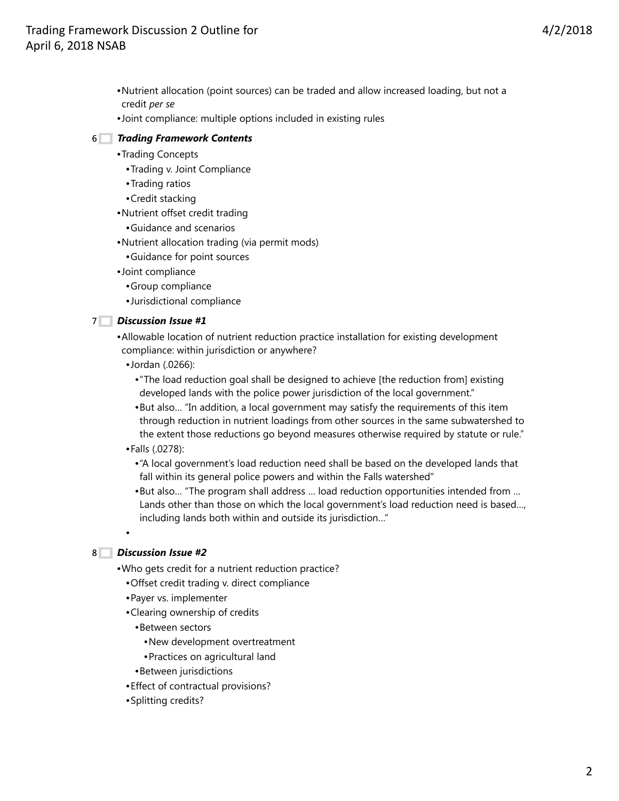- •Nutrient allocation (point sources) can be traded and allow increased loading, but not a credit *per se*
- •Joint compliance: multiple options included in existing rules

## *Trading Framework Contents* 6

- •Trading Concepts
	- •Trading v. Joint Compliance
	- •Trading ratios
	- •Credit stacking
- •Nutrient offset credit trading
	- •Guidance and scenarios
- •Nutrient allocation trading (via permit mods)
	- •Guidance for point sources
- •Joint compliance
	- •Group compliance
	- •Jurisdictional compliance

#### *Discussion Issue #1* 7

•Allowable location of nutrient reduction practice installation for existing development compliance: within jurisdiction or anywhere?

- •Jordan (.0266):
	- •"The load reduction goal shall be designed to achieve [the reduction from] existing developed lands with the police power jurisdiction of the local government."
	- •But also… "In addition, a local government may satisfy the requirements of this item through reduction in nutrient loadings from other sources in the same subwatershed to the extent those reductions go beyond measures otherwise required by statute or rule."
- •Falls (.0278):
	- •"A local government's load reduction need shall be based on the developed lands that fall within its general police powers and within the Falls watershed"
	- •But also… "The program shall address … load reduction opportunities intended from … Lands other than those on which the local government's load reduction need is based…, including lands both within and outside its jurisdiction…"

## *Discussion Issue #2* 8

•

- •Who gets credit for a nutrient reduction practice?
	- •Offset credit trading v. direct compliance
	- •Payer vs. implementer
	- •Clearing ownership of credits
		- •Between sectors
			- •New development overtreatment
			- •Practices on agricultural land
		- •Between jurisdictions
	- •Effect of contractual provisions?
	- •Splitting credits?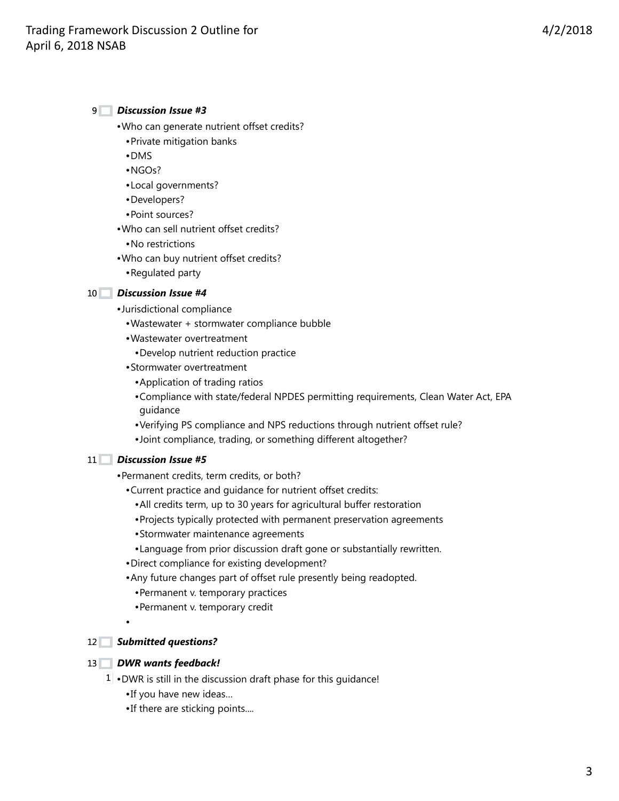### *Discussion Issue #3* 9

- •Who can generate nutrient offset credits?
	- •Private mitigation banks
	- •DMS
	- •NGOs?
	- •Local governments?
	- •Developers?
	- •Point sources?
- •Who can sell nutrient offset credits?
	- •No restrictions
- •Who can buy nutrient offset credits?
	- •Regulated party

#### *Discussion Issue #4* 10

- •Jurisdictional compliance
	- •Wastewater + stormwater compliance bubble
	- •Wastewater overtreatment
		- •Develop nutrient reduction practice
	- •Stormwater overtreatment
		- •Application of trading ratios
		- •Compliance with state/federal NPDES permitting requirements, Clean Water Act, EPA guidance
		- •Verifying PS compliance and NPS reductions through nutrient offset rule?
		- •Joint compliance, trading, or something different altogether?

#### *Discussion Issue #5* 11

- •Permanent credits, term credits, or both?
	- •Current practice and guidance for nutrient offset credits:
		- •All credits term, up to 30 years for agricultural buffer restoration
		- •Projects typically protected with permanent preservation agreements
		- •Stormwater maintenance agreements
		- •Language from prior discussion draft gone or substantially rewritten.
	- •Direct compliance for existing development?
	- •Any future changes part of offset rule presently being readopted.
		- •Permanent v. temporary practices
		- •Permanent v. temporary credit
	- •

#### *Submitted questions?* 12

#### *DWR wants feedback!* 13

- $1 \cdot$  DWR is still in the discussion draft phase for this guidance! •If you have new ideas…
	- •If there are sticking points....